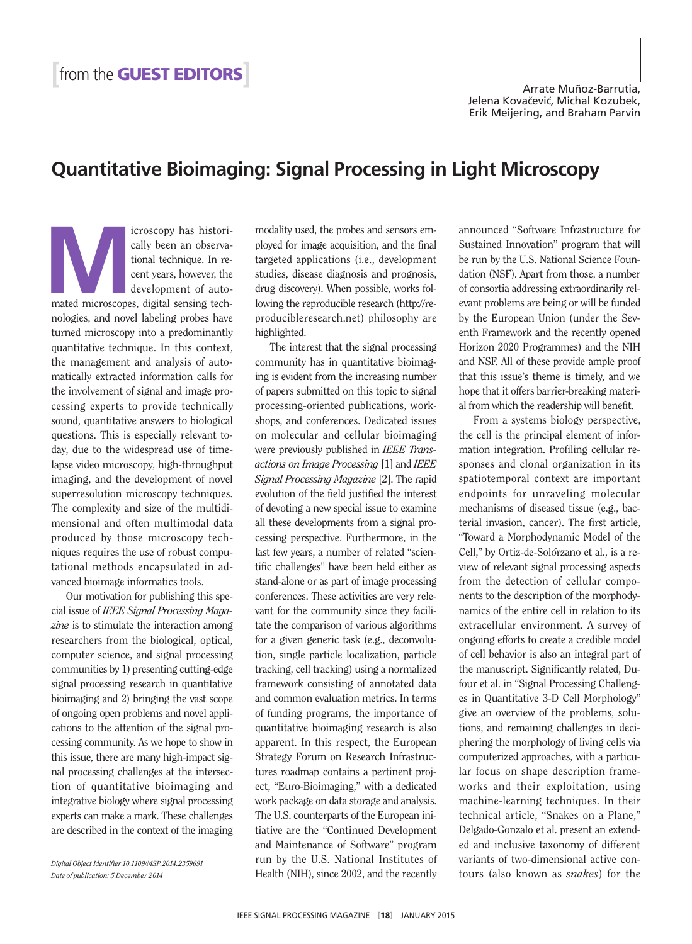## **Quantitative Bioimaging: Signal Processing in Light Microscopy**

**Microscopy has historically been an observational technique. In recent years, however, the development of auto-<br>mated microscopes, digital sensing tech**cally been an observational technique. In recent years, however, the development of autonologies, and novel labeling probes have turned microscopy into a predominantly quantitative technique. In this context, the management and analysis of automatically extracted information calls for the involvement of signal and image processing experts to provide technically sound, quantitative answers to biological questions. This is especially relevant today, due to the widespread use of timelapse video microscopy, high-throughput imaging, and the development of novel superresolution microscopy techniques. The complexity and size of the multidimensional and often multimodal data produced by those microscopy techniques requires the use of robust computational methods encapsulated in advanced bioimage informatics tools.

Our motivation for publishing this special issue of *IEEE Signal Processing Magazine* is to stimulate the interaction among researchers from the biological, optical, computer science, and signal processing communities by 1) presenting cutting-edge signal processing research in quantitative bioimaging and 2) bringing the vast scope of ongoing open problems and novel applications to the attention of the signal processing community. As we hope to show in this issue, there are many high-impact signal processing challenges at the intersection of quantitative bioimaging and integrative biology where signal processing experts can make a mark. These challenges are described in the context of the imaging

*Digital Object Identifier 10.1109/MSP.2014.2359691 Date of publication: 5 December 2014*

modality used, the probes and sensors employed for image acquisition, and the final targeted applications (i.e., development studies, disease diagnosis and prognosis, drug discovery). When possible, works following the reproducible research (http://reproducibleresearch.net) philosophy are highlighted.

The interest that the signal processing community has in quantitative bioimaging is evident from the increasing number of papers submitted on this topic to signal processing-oriented publications, workshops, and conferences. Dedicated issues on molecular and cellular bioimaging were previously published in *IEEE Transactions on Image Processing* [1] and *IEEE Signal Processing Magazine* [2]. The rapid evolution of the field justified the interest of devoting a new special issue to examine all these developments from a signal processing perspective. Furthermore, in the last few years, a number of related "scientific challenges" have been held either as stand-alone or as part of image processing conferences. These activities are very relevant for the community since they facilitate the comparison of various algorithms for a given generic task (e.g., deconvolution, single particle localization, particle tracking, cell tracking) using a normalized framework consisting of annotated data and common evaluation metrics. In terms of funding programs, the importance of quantitative bioimaging research is also apparent. In this respect, the European Strategy Forum on Research Infrastructures roadmap contains a pertinent project, "Euro-Bioimaging," with a dedicated work package on data storage and analysis. The U.S. counterparts of the European initiative are the "Continued Development and Maintenance of Software" program run by the U.S. National Institutes of Health (NIH), since 2002, and the recently

announced "Software Infrastructure for Sustained Innovation" program that will be run by the U.S. National Science Foundation (NSF). Apart from those, a number of consortia addressing extraordinarily relevant problems are being or will be funded by the European Union (under the Seventh Framework and the recently opened Horizon 2020 Programmes) and the NIH and NSF. All of these provide ample proof that this issue's theme is timely, and we hope that it offers barrier-breaking material from which the readership will benefit.

From a systems biology perspective, the cell is the principal element of information integration. Profiling cellular responses and clonal organization in its spatiotemporal context are important endpoints for unraveling molecular mechanisms of diseased tissue (e.g., bacterial invasion, cancer). The first article, "Toward a Morphodynamic Model of the Cell," by Ortiz-de-Solórzano et al., is a review of relevant signal processing aspects from the detection of cellular components to the description of the morphodynamics of the entire cell in relation to its extracellular environment. A survey of ongoing efforts to create a credible model of cell behavior is also an integral part of the manuscript. Significantly related, Dufour et al. in "Signal Processing Challenges in Quantitative 3-D Cell Morphology" give an overview of the problems, solutions, and remaining challenges in deciphering the morphology of living cells via computerized approaches, with a particular focus on shape description frameworks and their exploitation, using machine-learning techniques. In their technical article, "Snakes on a Plane," Delgado-Gonzalo et al. present an extended and inclusive taxonomy of different variants of two-dimensional active contours (also known as *snakes*) for the